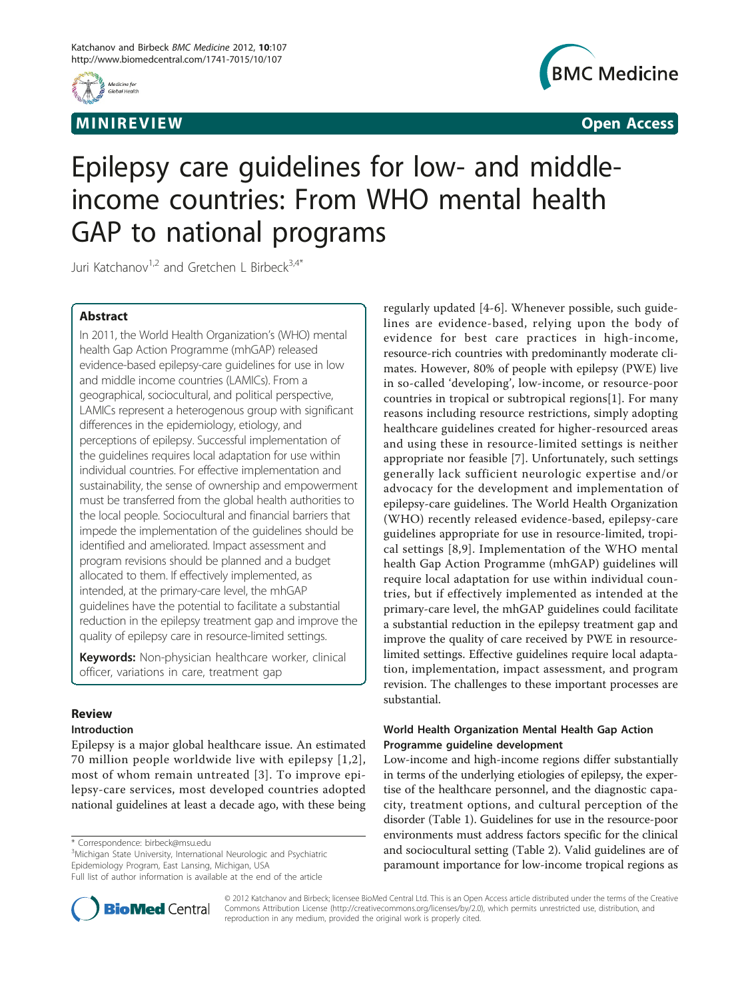

# MINIREVIEW **EXISTENT CONTROL**



# Epilepsy care guidelines for low- and middleincome countries: From WHO mental health GAP to national programs

Juri Katchanov<sup>1,2</sup> and Gretchen L Birbeck<sup>3,4\*</sup>

# Abstract

In 2011, the World Health Organization's (WHO) mental health Gap Action Programme (mhGAP) released evidence-based epilepsy-care guidelines for use in low and middle income countries (LAMICs). From a geographical, sociocultural, and political perspective, LAMICs represent a heterogenous group with significant differences in the epidemiology, etiology, and perceptions of epilepsy. Successful implementation of the guidelines requires local adaptation for use within individual countries. For effective implementation and sustainability, the sense of ownership and empowerment must be transferred from the global health authorities to the local people. Sociocultural and financial barriers that impede the implementation of the guidelines should be identified and ameliorated. Impact assessment and program revisions should be planned and a budget allocated to them. If effectively implemented, as intended, at the primary-care level, the mhGAP guidelines have the potential to facilitate a substantial reduction in the epilepsy treatment gap and improve the quality of epilepsy care in resource-limited settings.

Keywords: Non-physician healthcare worker, clinical officer, variations in care, treatment gap

## Review

## Introduction

Epilepsy is a major global healthcare issue. An estimated 70 million people worldwide live with epilepsy [[1,2\]](#page-3-0), most of whom remain untreated [[3](#page-3-0)]. To improve epilepsy-care services, most developed countries adopted national guidelines at least a decade ago, with these being

\* Correspondence: [birbeck@msu.edu](mailto:birbeck@msu.edu)

<sup>3</sup>Michigan State University, International Neurologic and Psychiatric Epidemiology Program, East Lansing, Michigan, USA

Full list of author information is available at the end of the article



regularly updated [[4-6\]](#page-3-0). Whenever possible, such guidelines are evidence-based, relying upon the body of evidence for best care practices in high-income, resource-rich countries with predominantly moderate climates. However, 80% of people with epilepsy (PWE) live in so-called 'developing', low-income, or resource-poor countries in tropical or subtropical regions[[1\]](#page-3-0). For many reasons including resource restrictions, simply adopting healthcare guidelines created for higher-resourced areas and using these in resource-limited settings is neither appropriate nor feasible [\[7](#page-3-0)]. Unfortunately, such settings generally lack sufficient neurologic expertise and/or advocacy for the development and implementation of epilepsy-care guidelines. The World Health Organization (WHO) recently released evidence-based, epilepsy-care guidelines appropriate for use in resource-limited, tropical settings [[8](#page-3-0),[9\]](#page-3-0). Implementation of the WHO mental health Gap Action Programme (mhGAP) guidelines will require local adaptation for use within individual countries, but if effectively implemented as intended at the primary-care level, the mhGAP guidelines could facilitate a substantial reduction in the epilepsy treatment gap and improve the quality of care received by PWE in resourcelimited settings. Effective guidelines require local adaptation, implementation, impact assessment, and program revision. The challenges to these important processes are substantial.

## World Health Organization Mental Health Gap Action Programme guideline development

Low-income and high-income regions differ substantially in terms of the underlying etiologies of epilepsy, the expertise of the healthcare personnel, and the diagnostic capacity, treatment options, and cultural perception of the disorder (Table [1](#page-1-0)). Guidelines for use in the resource-poor environments must address factors specific for the clinical and sociocultural setting (Table [2](#page-1-0)). Valid guidelines are of paramount importance for low-income tropical regions as

© 2012 Katchanov and Birbeck; licensee BioMed Central Ltd. This is an Open Access article distributed under the terms of the Creative Commons Attribution License [\(http://creativecommons.org/licenses/by/2.0](http://creativecommons.org/licenses/by/2.0)), which permits unrestricted use, distribution, and reproduction in any medium, provided the original work is properly cited.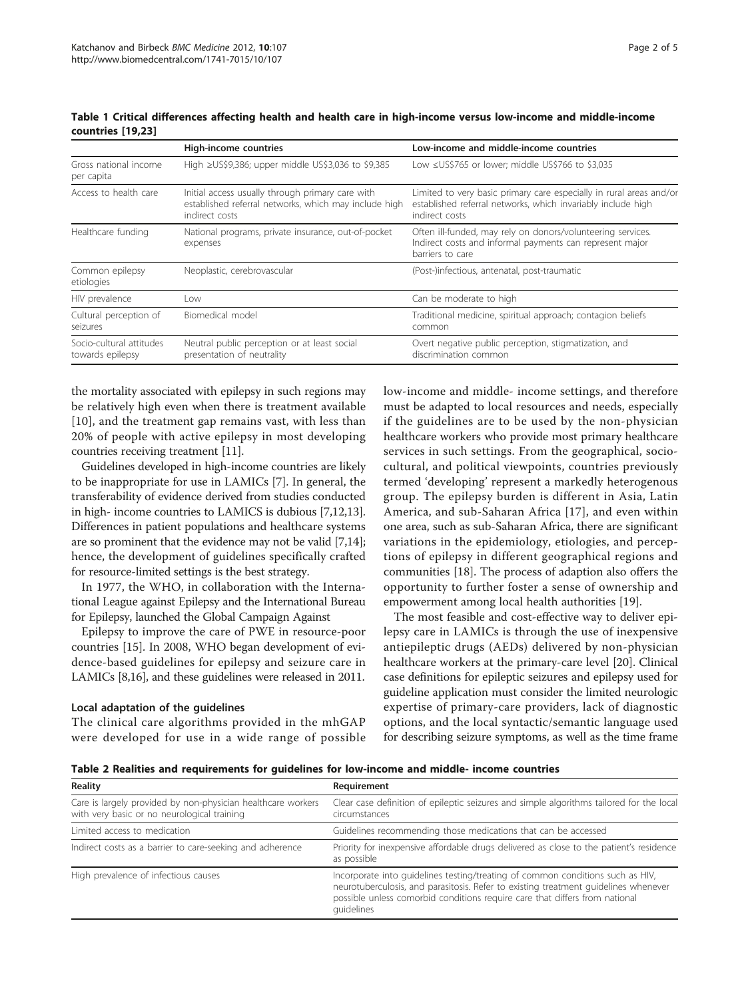|                                              | High-income countries                                                                                                       | Low-income and middle-income countries                                                                                                                |
|----------------------------------------------|-----------------------------------------------------------------------------------------------------------------------------|-------------------------------------------------------------------------------------------------------------------------------------------------------|
| Gross national income<br>per capita          | High ≥US\$9,386; upper middle US\$3,036 to \$9,385                                                                          | Low ≤US\$765 or lower; middle US\$766 to \$3,035                                                                                                      |
| Access to health care                        | Initial access usually through primary care with<br>established referral networks, which may include high<br>indirect costs | Limited to very basic primary care especially in rural areas and/or<br>established referral networks, which invariably include high<br>indirect costs |
| Healthcare funding                           | National programs, private insurance, out-of-pocket<br>expenses                                                             | Often ill-funded, may rely on donors/volunteering services.<br>Indirect costs and informal payments can represent major<br>barriers to care           |
| Common epilepsy<br>etiologies                | Neoplastic, cerebrovascular                                                                                                 | (Post-)infectious, antenatal, post-traumatic                                                                                                          |
| HIV prevalence                               | Low                                                                                                                         | Can be moderate to high                                                                                                                               |
| Cultural perception of<br>seizures           | Biomedical model                                                                                                            | Traditional medicine, spiritual approach; contagion beliefs<br>common                                                                                 |
| Socio-cultural attitudes<br>towards epilepsy | Neutral public perception or at least social<br>presentation of neutrality                                                  | Overt negative public perception, stigmatization, and<br>discrimination common                                                                        |

<span id="page-1-0"></span>Table 1 Critical differences affecting health and health care in high-income versus low-income and middle-income countries [[19](#page-4-0),[23\]](#page-4-0)

the mortality associated with epilepsy in such regions may be relatively high even when there is treatment available [[10](#page-3-0)], and the treatment gap remains vast, with less than 20% of people with active epilepsy in most developing countries receiving treatment [\[11\]](#page-3-0).

Guidelines developed in high-income countries are likely to be inappropriate for use in LAMICs [\[7](#page-3-0)]. In general, the transferability of evidence derived from studies conducted in high- income countries to LAMICS is dubious [\[7](#page-3-0)[,12,13](#page-4-0)]. Differences in patient populations and healthcare systems are so prominent that the evidence may not be valid [[7,](#page-3-0)[14](#page-4-0)]; hence, the development of guidelines specifically crafted for resource-limited settings is the best strategy.

In 1977, the WHO, in collaboration with the International League against Epilepsy and the International Bureau for Epilepsy, launched the Global Campaign Against

Epilepsy to improve the care of PWE in resource-poor countries [\[15](#page-4-0)]. In 2008, WHO began development of evidence-based guidelines for epilepsy and seizure care in LAMICs [[8](#page-3-0)[,16\]](#page-4-0), and these guidelines were released in 2011.

## Local adaptation of the guidelines

The clinical care algorithms provided in the mhGAP were developed for use in a wide range of possible low-income and middle- income settings, and therefore must be adapted to local resources and needs, especially if the guidelines are to be used by the non-physician healthcare workers who provide most primary healthcare services in such settings. From the geographical, sociocultural, and political viewpoints, countries previously termed 'developing' represent a markedly heterogenous group. The epilepsy burden is different in Asia, Latin America, and sub-Saharan Africa [[17](#page-4-0)], and even within one area, such as sub-Saharan Africa, there are significant variations in the epidemiology, etiologies, and perceptions of epilepsy in different geographical regions and communities [\[18](#page-4-0)]. The process of adaption also offers the opportunity to further foster a sense of ownership and empowerment among local health authorities [\[19\]](#page-4-0).

The most feasible and cost-effective way to deliver epilepsy care in LAMICs is through the use of inexpensive antiepileptic drugs (AEDs) delivered by non-physician healthcare workers at the primary-care level [[20\]](#page-4-0). Clinical case definitions for epileptic seizures and epilepsy used for guideline application must consider the limited neurologic expertise of primary-care providers, lack of diagnostic options, and the local syntactic/semantic language used for describing seizure symptoms, as well as the time frame

Table 2 Realities and requirements for guidelines for low-income and middle- income countries

| <b>Reality</b>                                                                                              | Requirement                                                                                                                                                                                                                                                        |
|-------------------------------------------------------------------------------------------------------------|--------------------------------------------------------------------------------------------------------------------------------------------------------------------------------------------------------------------------------------------------------------------|
| Care is largely provided by non-physician healthcare workers<br>with very basic or no neurological training | Clear case definition of epileptic seizures and simple algorithms tailored for the local<br>circumstances                                                                                                                                                          |
| Limited access to medication                                                                                | Guidelines recommending those medications that can be accessed                                                                                                                                                                                                     |
| Indirect costs as a barrier to care-seeking and adherence                                                   | Priority for inexpensive affordable drugs delivered as close to the patient's residence<br>as possible                                                                                                                                                             |
| High prevalence of infectious causes                                                                        | Incorporate into quidelines testing/treating of common conditions such as HIV,<br>neurotuberculosis, and parasitosis. Refer to existing treatment guidelines whenever<br>possible unless comorbid conditions require care that differs from national<br>quidelines |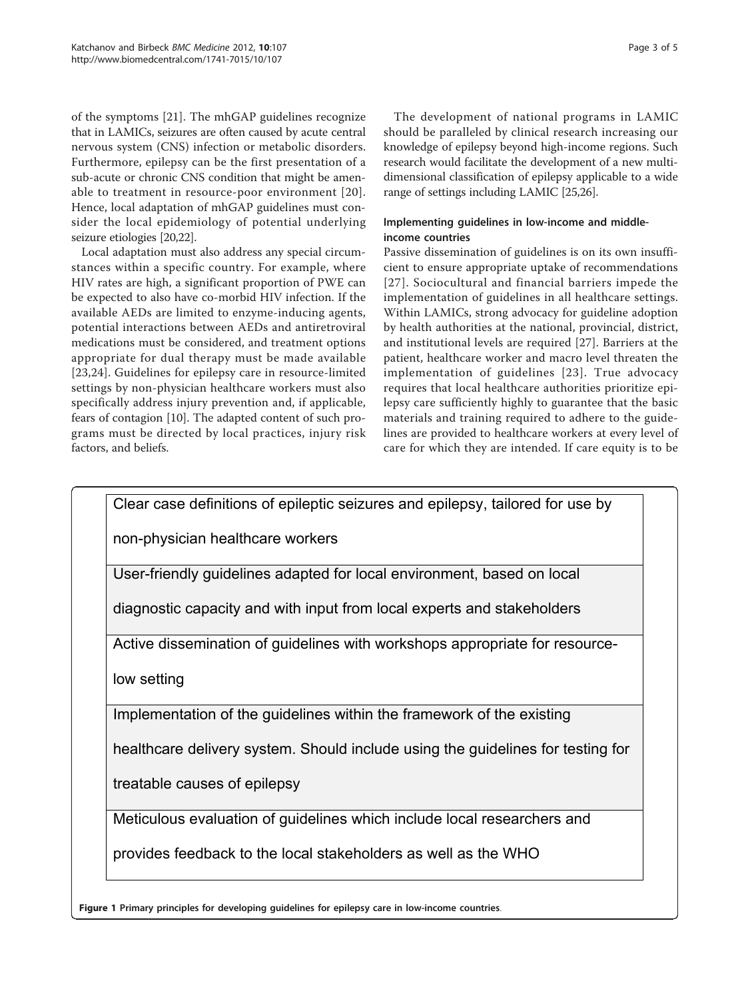<span id="page-2-0"></span>of the symptoms [\[21](#page-4-0)]. The mhGAP guidelines recognize that in LAMICs, seizures are often caused by acute central nervous system (CNS) infection or metabolic disorders. Furthermore, epilepsy can be the first presentation of a sub-acute or chronic CNS condition that might be amenable to treatment in resource-poor environment [[20\]](#page-4-0). Hence, local adaptation of mhGAP guidelines must consider the local epidemiology of potential underlying seizure etiologies [\[20,22](#page-4-0)].

Local adaptation must also address any special circumstances within a specific country. For example, where HIV rates are high, a significant proportion of PWE can be expected to also have co-morbid HIV infection. If the available AEDs are limited to enzyme-inducing agents, potential interactions between AEDs and antiretroviral medications must be considered, and treatment options appropriate for dual therapy must be made available [[23,24](#page-4-0)]. Guidelines for epilepsy care in resource-limited settings by non-physician healthcare workers must also specifically address injury prevention and, if applicable, fears of contagion [\[10](#page-3-0)]. The adapted content of such programs must be directed by local practices, injury risk factors, and beliefs.

The development of national programs in LAMIC should be paralleled by clinical research increasing our knowledge of epilepsy beyond high-income regions. Such research would facilitate the development of a new multidimensional classification of epilepsy applicable to a wide range of settings including LAMIC [\[25,26](#page-4-0)].

## Implementing guidelines in low-income and middleincome countries

Passive dissemination of guidelines is on its own insufficient to ensure appropriate uptake of recommendations [[27\]](#page-4-0). Sociocultural and financial barriers impede the implementation of guidelines in all healthcare settings. Within LAMICs, strong advocacy for guideline adoption by health authorities at the national, provincial, district, and institutional levels are required [\[27](#page-4-0)]. Barriers at the patient, healthcare worker and macro level threaten the implementation of guidelines [\[23](#page-4-0)]. True advocacy requires that local healthcare authorities prioritize epilepsy care sufficiently highly to guarantee that the basic materials and training required to adhere to the guidelines are provided to healthcare workers at every level of care for which they are intended. If care equity is to be



Figure 1 Primary principles for developing guidelines for epilepsy care in low-income countries.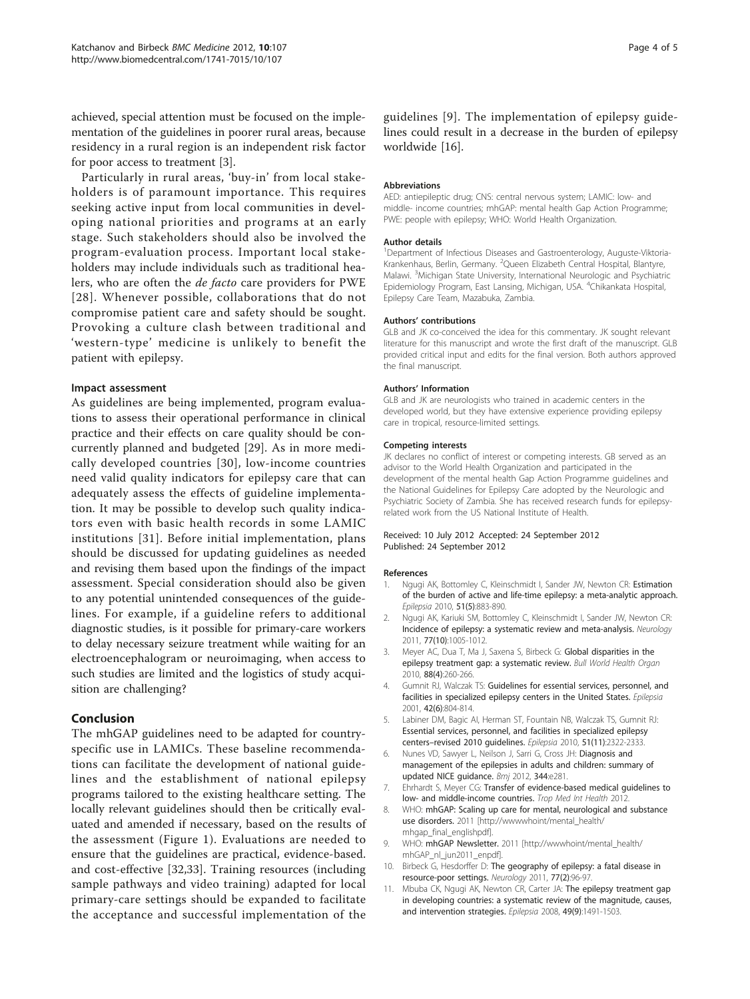<span id="page-3-0"></span>achieved, special attention must be focused on the implementation of the guidelines in poorer rural areas, because residency in a rural region is an independent risk factor for poor access to treatment [3].

Particularly in rural areas, 'buy-in' from local stakeholders is of paramount importance. This requires seeking active input from local communities in developing national priorities and programs at an early stage. Such stakeholders should also be involved the program-evaluation process. Important local stakeholders may include individuals such as traditional healers, who are often the de facto care providers for PWE [[28](#page-4-0)]. Whenever possible, collaborations that do not compromise patient care and safety should be sought. Provoking a culture clash between traditional and 'western-type' medicine is unlikely to benefit the patient with epilepsy.

#### Impact assessment

As guidelines are being implemented, program evaluations to assess their operational performance in clinical practice and their effects on care quality should be concurrently planned and budgeted [[29\]](#page-4-0). As in more medically developed countries [[30\]](#page-4-0), low-income countries need valid quality indicators for epilepsy care that can adequately assess the effects of guideline implementation. It may be possible to develop such quality indicators even with basic health records in some LAMIC institutions [[31\]](#page-4-0). Before initial implementation, plans should be discussed for updating guidelines as needed and revising them based upon the findings of the impact assessment. Special consideration should also be given to any potential unintended consequences of the guidelines. For example, if a guideline refers to additional diagnostic studies, is it possible for primary-care workers to delay necessary seizure treatment while waiting for an electroencephalogram or neuroimaging, when access to such studies are limited and the logistics of study acquisition are challenging?

### Conclusion

The mhGAP guidelines need to be adapted for countryspecific use in LAMICs. These baseline recommendations can facilitate the development of national guidelines and the establishment of national epilepsy programs tailored to the existing healthcare setting. The locally relevant guidelines should then be critically evaluated and amended if necessary, based on the results of the assessment (Figure [1](#page-2-0)). Evaluations are needed to ensure that the guidelines are practical, evidence-based. and cost-effective [\[32,33](#page-4-0)]. Training resources (including sample pathways and video training) adapted for local primary-care settings should be expanded to facilitate the acceptance and successful implementation of the

guidelines [9]. The implementation of epilepsy guidelines could result in a decrease in the burden of epilepsy worldwide [\[16](#page-4-0)].

#### Abbreviations

AED: antiepileptic drug; CNS: central nervous system; LAMIC: low- and middle- income countries; mhGAP: mental health Gap Action Programme; PWE: people with epilepsy; WHO: World Health Organization.

#### Author details

<sup>1</sup>Department of Infectious Diseases and Gastroenterology, Auguste-Viktoria-Krankenhaus, Berlin, Germany. <sup>2</sup>Queen Elizabeth Central Hospital, Blantyre Malawi. <sup>3</sup>Michigan State University, International Neurologic and Psychiatric Epidemiology Program, East Lansing, Michigan, USA. <sup>4</sup>Chikankata Hospital, Epilepsy Care Team, Mazabuka, Zambia.

#### Authors' contributions

GLB and JK co-conceived the idea for this commentary. JK sought relevant literature for this manuscript and wrote the first draft of the manuscript. GLB provided critical input and edits for the final version. Both authors approved the final manuscript.

#### Authors' Information

GLB and JK are neurologists who trained in academic centers in the developed world, but they have extensive experience providing epilepsy care in tropical, resource-limited settings.

#### Competing interests

JK declares no conflict of interest or competing interests. GB served as an advisor to the World Health Organization and participated in the development of the mental health Gap Action Programme guidelines and the National Guidelines for Epilepsy Care adopted by the Neurologic and Psychiatric Society of Zambia. She has received research funds for epilepsyrelated work from the US National Institute of Health.

#### Received: 10 July 2012 Accepted: 24 September 2012 Published: 24 September 2012

#### References

- Ngugi AK, Bottomley C, Kleinschmidt I, Sander JW, Newton CR: [Estimation](http://www.ncbi.nlm.nih.gov/pubmed/20067507?dopt=Abstract) [of the burden of active and life-time epilepsy: a meta-analytic approach.](http://www.ncbi.nlm.nih.gov/pubmed/20067507?dopt=Abstract) Epilepsia 2010, 51(5):883-890.
- 2. Ngugi AK, Kariuki SM, Bottomley C, Kleinschmidt I, Sander JW, Newton CR: [Incidence of epilepsy: a systematic review and meta-analysis.](http://www.ncbi.nlm.nih.gov/pubmed/21893672?dopt=Abstract) Neurology 2011, 77(10):1005-1012.
- 3. Meyer AC, Dua T, Ma J, Saxena S, Birbeck G: [Global disparities in the](http://www.ncbi.nlm.nih.gov/pubmed/20431789?dopt=Abstract) [epilepsy treatment gap: a systematic review.](http://www.ncbi.nlm.nih.gov/pubmed/20431789?dopt=Abstract) Bull World Health Organ 2010, 88(4):260-266.
- Gumnit RJ, Walczak TS: [Guidelines for essential services, personnel, and](http://www.ncbi.nlm.nih.gov/pubmed/11422341?dopt=Abstract) [facilities in specialized epilepsy centers in the United States.](http://www.ncbi.nlm.nih.gov/pubmed/11422341?dopt=Abstract) Epilepsia 2001, 42(6):804-814.
- 5. Labiner DM, Bagic AI, Herman ST, Fountain NB, Walczak TS, Gumnit RJ: [Essential services, personnel, and facilities in specialized epilepsy](http://www.ncbi.nlm.nih.gov/pubmed/20561026?dopt=Abstract) centers–[revised 2010 guidelines.](http://www.ncbi.nlm.nih.gov/pubmed/20561026?dopt=Abstract) Epilepsia 2010, 51(11):2322-2333.
- 6. Nunes VD, Sawyer L, Neilson J, Sarri G, Cross JH: [Diagnosis and](http://www.ncbi.nlm.nih.gov/pubmed/22282528?dopt=Abstract) [management of the epilepsies in adults and children: summary of](http://www.ncbi.nlm.nih.gov/pubmed/22282528?dopt=Abstract) [updated NICE guidance.](http://www.ncbi.nlm.nih.gov/pubmed/22282528?dopt=Abstract) Bmj 2012, 344:e281.
- 7. Ehrhardt S, Meyer CG: Transfer of evidence-based medical guidelines to low- and middle-income countries. Trop Med Int Health 2012.
- 8. WHO: mhGAP: Scaling up care for mental, neurological and substance use disorders. 2011 [\[http://wwwwhoint/mental\\_health/](http://wwwwhoint/mental_health/mhgap_final_englishpdf) [mhgap\\_final\\_englishpdf\]](http://wwwwhoint/mental_health/mhgap_final_englishpdf).
- 9. WHO: mhGAP Newsletter. 2011 [\[http://wwwhoint/mental\\_health/](http://wwwhoint/mental_health/mhGAP_nl_jun2011_enpdf) [mhGAP\\_nl\\_jun2011\\_enpdf](http://wwwhoint/mental_health/mhGAP_nl_jun2011_enpdf)].
- 10. Birbeck G, Hesdorffer D: [The geography of epilepsy: a fatal disease in](http://www.ncbi.nlm.nih.gov/pubmed/21653887?dopt=Abstract) [resource-poor settings.](http://www.ncbi.nlm.nih.gov/pubmed/21653887?dopt=Abstract) Neurology 2011, 77(2):96-97.
- 11. Mbuba CK, Ngugi AK, Newton CR, Carter JA: [The epilepsy treatment gap](http://www.ncbi.nlm.nih.gov/pubmed/18557778?dopt=Abstract) [in developing countries: a systematic review of the magnitude, causes,](http://www.ncbi.nlm.nih.gov/pubmed/18557778?dopt=Abstract) [and intervention strategies.](http://www.ncbi.nlm.nih.gov/pubmed/18557778?dopt=Abstract) Epilepsia 2008, 49(9):1491-1503.